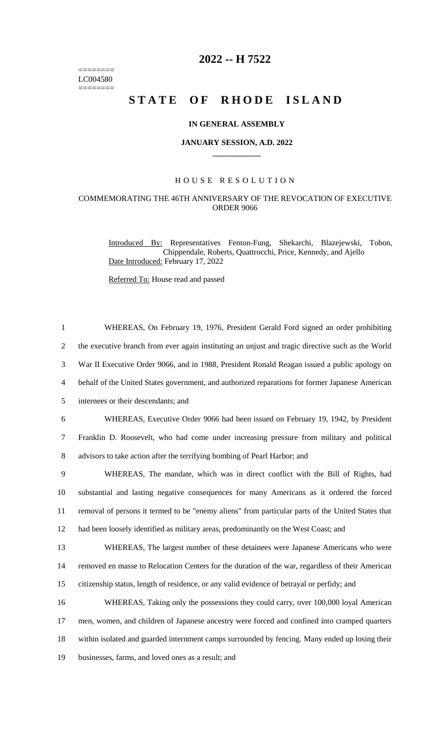======== LC004580  $=$ 

# **2022 -- H 7522**

# **STATE OF RHODE ISLAND**

#### **IN GENERAL ASSEMBLY**

#### **JANUARY SESSION, A.D. 2022 \_\_\_\_\_\_\_\_\_\_\_\_**

## H O U S E R E S O L U T I O N

### COMMEMORATING THE 46TH ANNIVERSARY OF THE REVOCATION OF EXECUTIVE ORDER 9066

Introduced By: Representatives Fenton-Fung, Shekarchi, Blazejewski, Tobon, Chippendale, Roberts, Quattrocchi, Price, Kennedy, and Ajello Date Introduced: February 17, 2022

Referred To: House read and passed

| $\mathbf{1}$   | WHEREAS, On February 19, 1976, President Gerald Ford signed an order prohibiting                  |
|----------------|---------------------------------------------------------------------------------------------------|
| $\overline{2}$ | the executive branch from ever again instituting an unjust and tragic directive such as the World |
| 3              | War II Executive Order 9066, and in 1988, President Ronald Reagan issued a public apology on      |
| $\overline{4}$ | behalf of the United States government, and authorized reparations for former Japanese American   |
| 5              | internees or their descendants; and                                                               |
| 6              | WHEREAS, Executive Order 9066 had been issued on February 19, 1942, by President                  |
| $\tau$         | Franklin D. Roosevelt, who had come under increasing pressure from military and political         |
| 8              | advisors to take action after the terrifying bombing of Pearl Harbor; and                         |
| 9              | WHEREAS, The mandate, which was in direct conflict with the Bill of Rights, had                   |
| 10             | substantial and lasting negative consequences for many Americans as it ordered the forced         |
| 11             | removal of persons it termed to be "enemy aliens" from particular parts of the United States that |
| 12             | had been loosely identified as military areas, predominantly on the West Coast; and               |
| 13             | WHEREAS, The largest number of these detainees were Japanese Americans who were                   |
| 14             | removed en masse to Relocation Centers for the duration of the war, regardless of their American  |
| 15             | citizenship status, length of residence, or any valid evidence of betrayal or perfidy; and        |
| 16             | WHEREAS, Taking only the possessions they could carry, over 100,000 loyal American                |
| 17             | men, women, and children of Japanese ancestry were forced and confined into cramped quarters      |
| 18             | within isolated and guarded internment camps surrounded by fencing. Many ended up losing their    |
| 19             | businesses, farms, and loved ones as a result; and                                                |